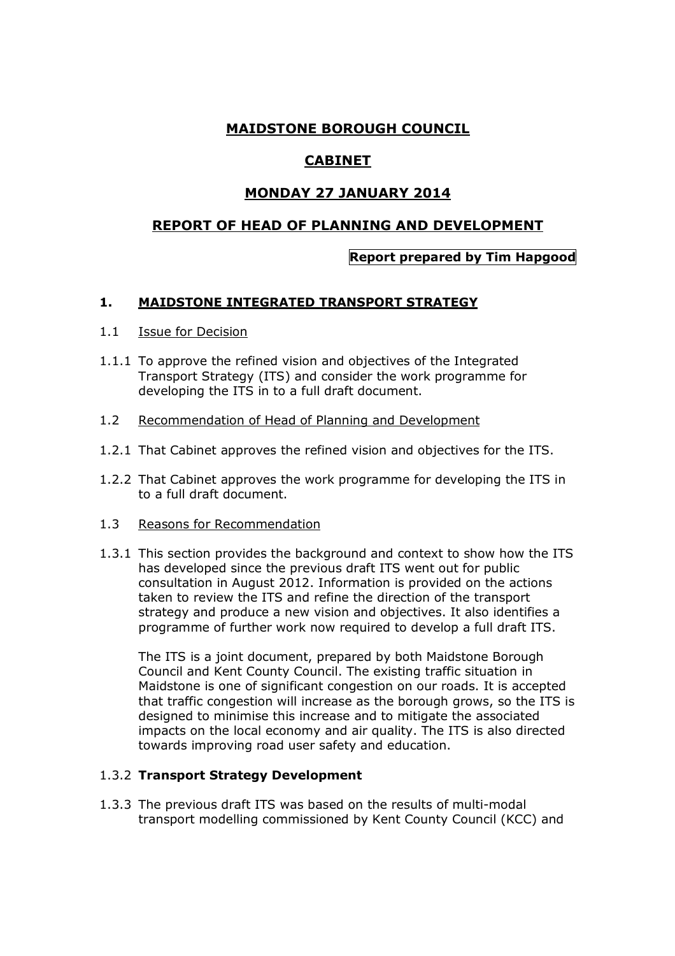# **MAIDSTONE BOROUGH COUNCIL**

# **CABINET**

# **MONDAY 27 JANUARY 2014**

## **REPORT OF HEAD OF PLANNING AND DEVELOPMENT**

### **Report prepared by Tim Hapgood**

### **1. MAIDSTONE INTEGRATED TRANSPORT STRATEGY**

#### 1.1 Issue for Decision

- 1.1.1 To approve the refined vision and objectives of the Integrated Transport Strategy (ITS) and consider the work programme for developing the ITS in to a full draft document.
- 1.2 Recommendation of Head of Planning and Development
- 1.2.1 That Cabinet approves the refined vision and objectives for the ITS.
- 1.2.2 That Cabinet approves the work programme for developing the ITS in to a full draft document.
- 1.3 Reasons for Recommendation
- 1.3.1 This section provides the background and context to show how the ITS has developed since the previous draft ITS went out for public consultation in August 2012. Information is provided on the actions taken to review the ITS and refine the direction of the transport strategy and produce a new vision and objectives. It also identifies a programme of further work now required to develop a full draft ITS.

The ITS is a joint document, prepared by both Maidstone Borough Council and Kent County Council. The existing traffic situation in Maidstone is one of significant congestion on our roads. It is accepted that traffic congestion will increase as the borough grows, so the ITS is designed to minimise this increase and to mitigate the associated impacts on the local economy and air quality. The ITS is also directed towards improving road user safety and education.

#### 1.3.2 **Transport Strategy Development**

1.3.3 The previous draft ITS was based on the results of multi-modal transport modelling commissioned by Kent County Council (KCC) and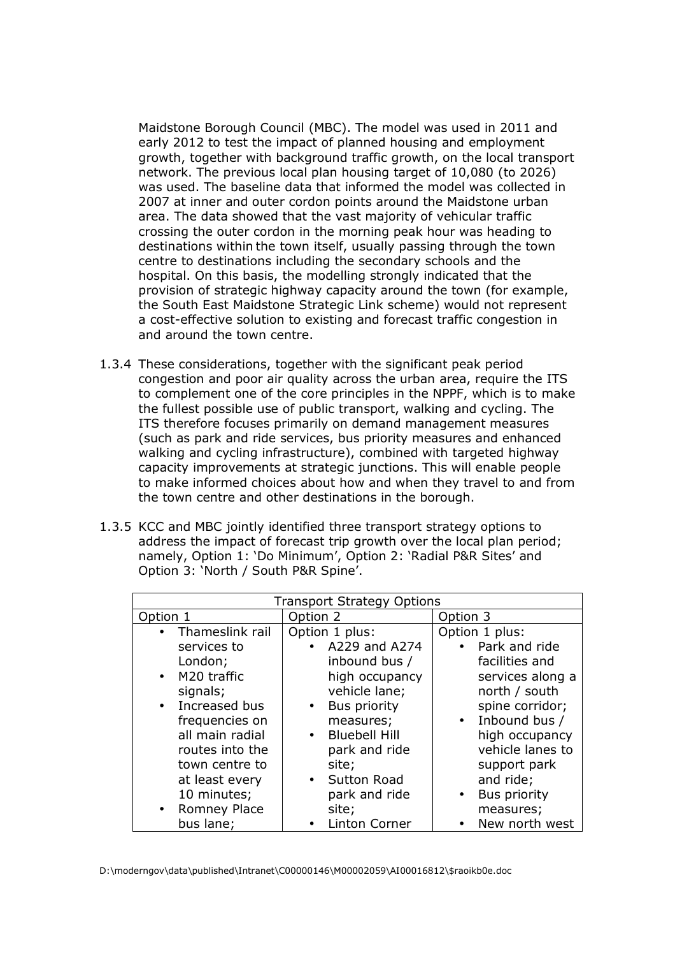Maidstone Borough Council (MBC). The model was used in 2011 and early 2012 to test the impact of planned housing and employment growth, together with background traffic growth, on the local transport network. The previous local plan housing target of 10,080 (to 2026) was used. The baseline data that informed the model was collected in 2007 at inner and outer cordon points around the Maidstone urban area. The data showed that the vast majority of vehicular traffic crossing the outer cordon in the morning peak hour was heading to destinations within the town itself, usually passing through the town centre to destinations including the secondary schools and the hospital. On this basis, the modelling strongly indicated that the provision of strategic highway capacity around the town (for example, the South East Maidstone Strategic Link scheme) would not represent a cost-effective solution to existing and forecast traffic congestion in and around the town centre.

- 1.3.4 These considerations, together with the significant peak period congestion and poor air quality across the urban area, require the ITS to complement one of the core principles in the NPPF, which is to make the fullest possible use of public transport, walking and cycling. The ITS therefore focuses primarily on demand management measures (such as park and ride services, bus priority measures and enhanced walking and cycling infrastructure), combined with targeted highway capacity improvements at strategic junctions. This will enable people to make informed choices about how and when they travel to and from the town centre and other destinations in the borough.
- 1.3.5 KCC and MBC jointly identified three transport strategy options to address the impact of forecast trip growth over the local plan period; namely, Option 1: 'Do Minimum', Option 2: 'Radial P&R Sites' and Option 3: 'North / South P&R Spine'.

| <b>Transport Strategy Options</b> |                                   |                                  |  |  |
|-----------------------------------|-----------------------------------|----------------------------------|--|--|
| Option 1                          | Option 2                          | Option 3                         |  |  |
| • Thameslink rail                 | Option 1 plus:                    | Option 1 plus:                   |  |  |
| services to                       | • A229 and A274                   | • Park and ride                  |  |  |
| London;                           | inbound bus /                     | facilities and                   |  |  |
| • M20 traffic                     | high occupancy                    | services along a                 |  |  |
| signals;                          | vehicle lane;                     | north / south                    |  |  |
| • Increased bus                   | <b>Bus priority</b><br>$\bullet$  | spine corridor;                  |  |  |
| frequencies on                    | measures;                         | $\bullet$ Inbound bus /          |  |  |
| all main radial                   | <b>Bluebell Hill</b><br>$\bullet$ | high occupancy                   |  |  |
| routes into the                   | park and ride                     | vehicle lanes to                 |  |  |
| town centre to                    | site;                             | support park                     |  |  |
| at least every                    | <b>Sutton Road</b><br>$\bullet$   | and ride;                        |  |  |
| 10 minutes;                       | park and ride                     | <b>Bus priority</b><br>$\bullet$ |  |  |
| <b>Romney Place</b>               | site;                             | measures;                        |  |  |
| bus lane;                         | <b>Linton Corner</b>              | New north west                   |  |  |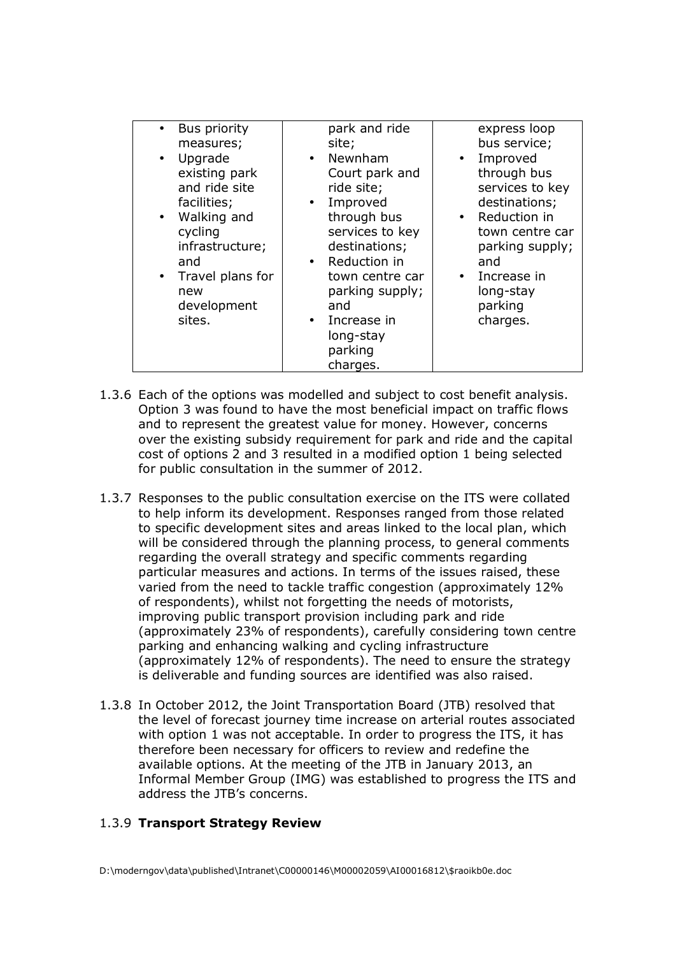| <b>Bus priority</b><br>measures;<br>Upgrade<br>$\bullet$<br>existing park<br>and ride site<br>facilities;<br>Walking and<br>cycling<br>infrastructure;<br>and<br>Travel plans for<br>$\bullet$<br>new<br>development<br>sites. | park and ride<br>site;<br>• Newnham<br>Court park and<br>ride site;<br>Improved<br>through bus<br>services to key<br>destinations;<br>• Reduction in<br>town centre car<br>parking supply;<br>and<br>Increase in<br>long-stay<br>parking<br>charges. | express loop<br>bus service;<br>Improved<br>$\bullet$<br>through bus<br>services to key<br>destinations;<br>• Reduction in<br>town centre car<br>parking supply;<br>and<br>$\bullet$ Increase in<br>long-stay<br>parking<br>charges. |
|--------------------------------------------------------------------------------------------------------------------------------------------------------------------------------------------------------------------------------|------------------------------------------------------------------------------------------------------------------------------------------------------------------------------------------------------------------------------------------------------|--------------------------------------------------------------------------------------------------------------------------------------------------------------------------------------------------------------------------------------|
|--------------------------------------------------------------------------------------------------------------------------------------------------------------------------------------------------------------------------------|------------------------------------------------------------------------------------------------------------------------------------------------------------------------------------------------------------------------------------------------------|--------------------------------------------------------------------------------------------------------------------------------------------------------------------------------------------------------------------------------------|

- 1.3.6 Each of the options was modelled and subject to cost benefit analysis. Option 3 was found to have the most beneficial impact on traffic flows and to represent the greatest value for money. However, concerns over the existing subsidy requirement for park and ride and the capital cost of options 2 and 3 resulted in a modified option 1 being selected for public consultation in the summer of 2012.
- 1.3.7 Responses to the public consultation exercise on the ITS were collated to help inform its development. Responses ranged from those related to specific development sites and areas linked to the local plan, which will be considered through the planning process, to general comments regarding the overall strategy and specific comments regarding particular measures and actions. In terms of the issues raised, these varied from the need to tackle traffic congestion (approximately 12% of respondents), whilst not forgetting the needs of motorists, improving public transport provision including park and ride (approximately 23% of respondents), carefully considering town centre parking and enhancing walking and cycling infrastructure (approximately 12% of respondents). The need to ensure the strategy is deliverable and funding sources are identified was also raised.
- 1.3.8 In October 2012, the Joint Transportation Board (JTB) resolved that the level of forecast journey time increase on arterial routes associated with option 1 was not acceptable. In order to progress the ITS, it has therefore been necessary for officers to review and redefine the available options. At the meeting of the JTB in January 2013, an Informal Member Group (IMG) was established to progress the ITS and address the JTB's concerns.

#### 1.3.9 **Transport Strategy Review**

D:\moderngov\data\published\Intranet\C00000146\M00002059\AI00016812\\$raoikb0e.doc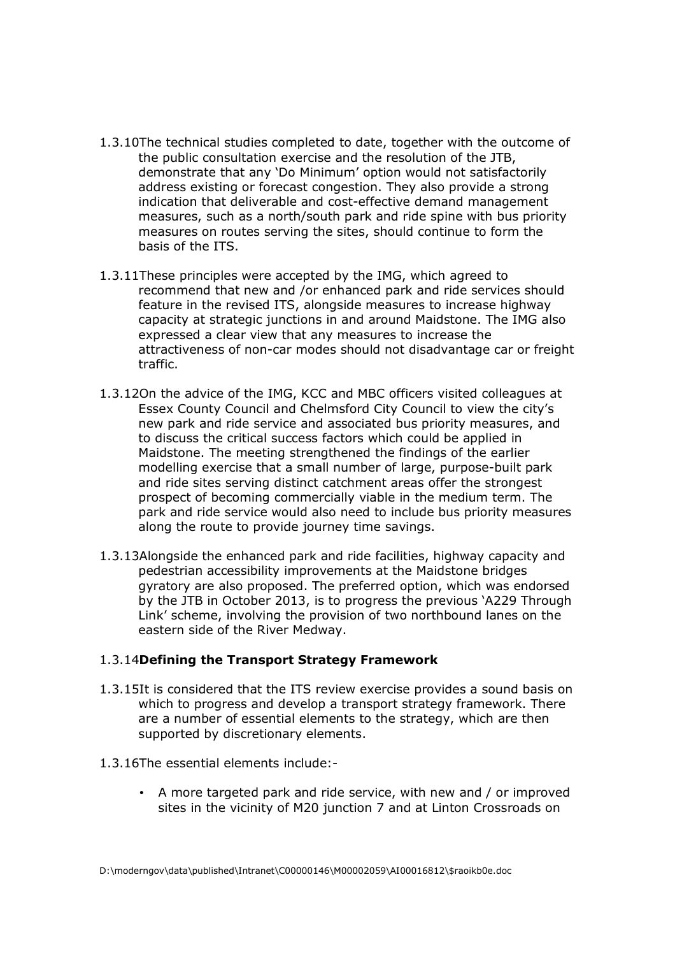- 1.3.10The technical studies completed to date, together with the outcome of the public consultation exercise and the resolution of the JTB, demonstrate that any 'Do Minimum' option would not satisfactorily address existing or forecast congestion. They also provide a strong indication that deliverable and cost-effective demand management measures, such as a north/south park and ride spine with bus priority measures on routes serving the sites, should continue to form the basis of the ITS.
- 1.3.11These principles were accepted by the IMG, which agreed to recommend that new and /or enhanced park and ride services should feature in the revised ITS, alongside measures to increase highway capacity at strategic junctions in and around Maidstone. The IMG also expressed a clear view that any measures to increase the attractiveness of non-car modes should not disadvantage car or freight traffic.
- 1.3.12On the advice of the IMG, KCC and MBC officers visited colleagues at Essex County Council and Chelmsford City Council to view the city's new park and ride service and associated bus priority measures, and to discuss the critical success factors which could be applied in Maidstone. The meeting strengthened the findings of the earlier modelling exercise that a small number of large, purpose-built park and ride sites serving distinct catchment areas offer the strongest prospect of becoming commercially viable in the medium term. The park and ride service would also need to include bus priority measures along the route to provide journey time savings.
- 1.3.13Alongside the enhanced park and ride facilities, highway capacity and pedestrian accessibility improvements at the Maidstone bridges gyratory are also proposed. The preferred option, which was endorsed by the JTB in October 2013, is to progress the previous 'A229 Through Link' scheme, involving the provision of two northbound lanes on the eastern side of the River Medway.

#### 1.3.14**Defining the Transport Strategy Framework**

- 1.3.15It is considered that the ITS review exercise provides a sound basis on which to progress and develop a transport strategy framework. There are a number of essential elements to the strategy, which are then supported by discretionary elements.
- 1.3.16The essential elements include:-
	- A more targeted park and ride service, with new and / or improved sites in the vicinity of M20 junction 7 and at Linton Crossroads on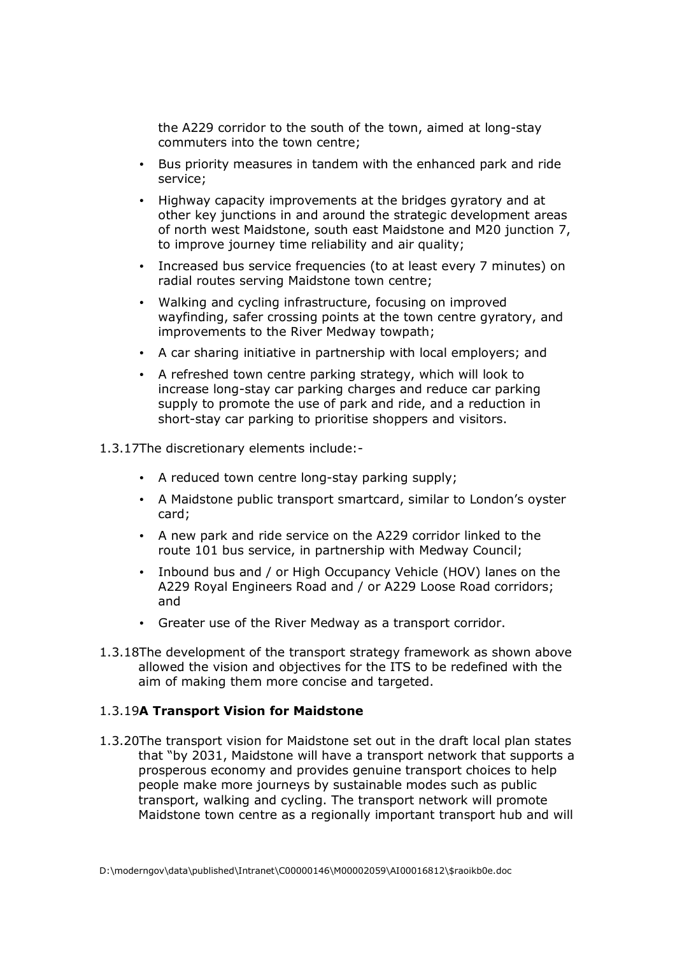the A229 corridor to the south of the town, aimed at long-stay commuters into the town centre;

- Bus priority measures in tandem with the enhanced park and ride service;
- Highway capacity improvements at the bridges gyratory and at other key junctions in and around the strategic development areas of north west Maidstone, south east Maidstone and M20 junction 7, to improve journey time reliability and air quality;
- Increased bus service frequencies (to at least every 7 minutes) on radial routes serving Maidstone town centre;
- Walking and cycling infrastructure, focusing on improved wayfinding, safer crossing points at the town centre gyratory, and improvements to the River Medway towpath;
- A car sharing initiative in partnership with local employers; and
- A refreshed town centre parking strategy, which will look to increase long-stay car parking charges and reduce car parking supply to promote the use of park and ride, and a reduction in short-stay car parking to prioritise shoppers and visitors.

1.3.17The discretionary elements include:-

- A reduced town centre long-stay parking supply;
- A Maidstone public transport smartcard, similar to London's oyster card;
- A new park and ride service on the A229 corridor linked to the route 101 bus service, in partnership with Medway Council;
- Inbound bus and / or High Occupancy Vehicle (HOV) lanes on the A229 Royal Engineers Road and / or A229 Loose Road corridors; and
- Greater use of the River Medway as a transport corridor.
- 1.3.18The development of the transport strategy framework as shown above allowed the vision and objectives for the ITS to be redefined with the aim of making them more concise and targeted.

#### 1.3.19**A Transport Vision for Maidstone**

1.3.20The transport vision for Maidstone set out in the draft local plan states that "by 2031, Maidstone will have a transport network that supports a prosperous economy and provides genuine transport choices to help people make more journeys by sustainable modes such as public transport, walking and cycling. The transport network will promote Maidstone town centre as a regionally important transport hub and will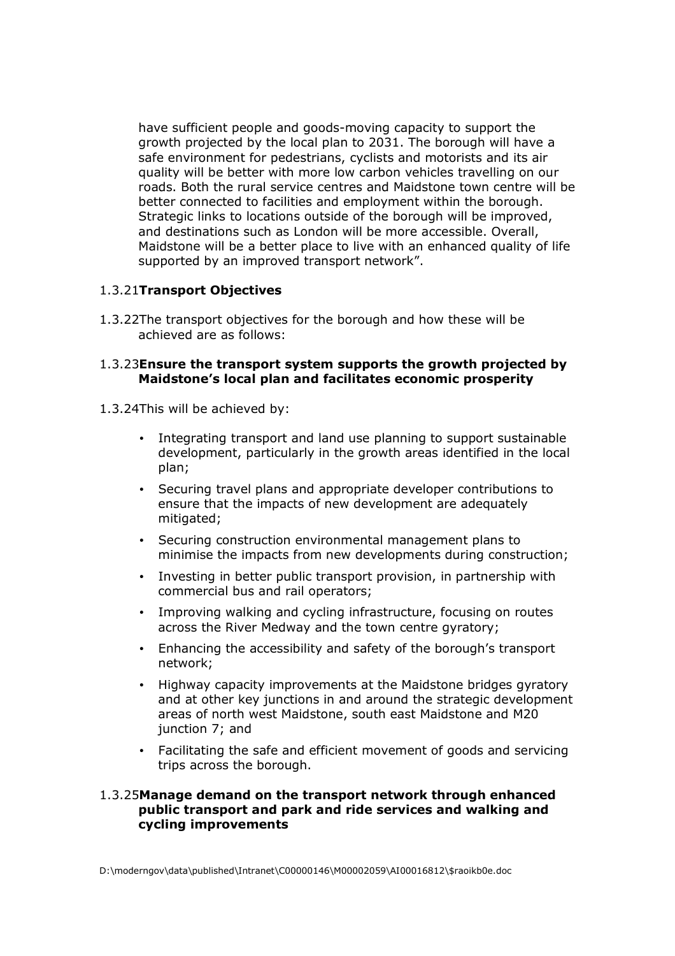have sufficient people and goods-moving capacity to support the growth projected by the local plan to 2031. The borough will have a safe environment for pedestrians, cyclists and motorists and its air quality will be better with more low carbon vehicles travelling on our roads. Both the rural service centres and Maidstone town centre will be better connected to facilities and employment within the borough. Strategic links to locations outside of the borough will be improved, and destinations such as London will be more accessible. Overall, Maidstone will be a better place to live with an enhanced quality of life supported by an improved transport network".

#### 1.3.21**Transport Objectives**

1.3.22The transport objectives for the borough and how these will be achieved are as follows:

#### 1.3.23**Ensure the transport system supports the growth projected by Maidstone's local plan and facilitates economic prosperity**

- 1.3.24This will be achieved by:
	- Integrating transport and land use planning to support sustainable development, particularly in the growth areas identified in the local plan;
	- Securing travel plans and appropriate developer contributions to ensure that the impacts of new development are adequately mitigated;
	- Securing construction environmental management plans to minimise the impacts from new developments during construction;
	- Investing in better public transport provision, in partnership with commercial bus and rail operators;
	- Improving walking and cycling infrastructure, focusing on routes across the River Medway and the town centre gyratory;
	- Enhancing the accessibility and safety of the borough's transport network;
	- Highway capacity improvements at the Maidstone bridges gyratory and at other key junctions in and around the strategic development areas of north west Maidstone, south east Maidstone and M20 junction 7; and
	- Facilitating the safe and efficient movement of goods and servicing trips across the borough.

#### 1.3.25**Manage demand on the transport network through enhanced public transport and park and ride services and walking and cycling improvements**

D:\moderngov\data\published\Intranet\C00000146\M00002059\AI00016812\\$raoikb0e.doc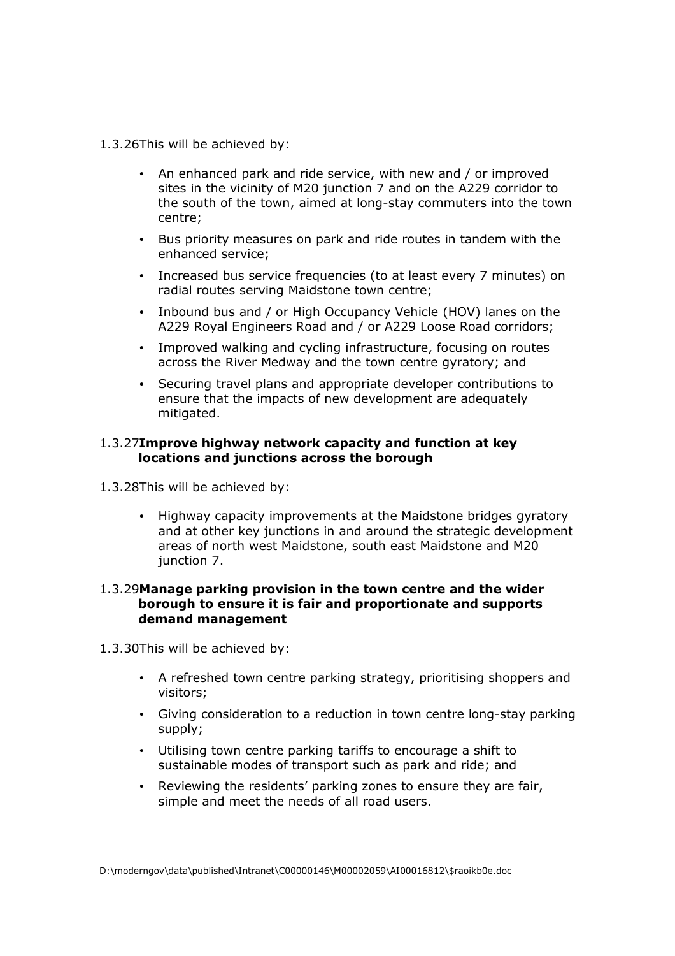- 1.3.26This will be achieved by:
	- An enhanced park and ride service, with new and / or improved sites in the vicinity of M20 junction 7 and on the A229 corridor to the south of the town, aimed at long-stay commuters into the town centre;
	- Bus priority measures on park and ride routes in tandem with the enhanced service;
	- Increased bus service frequencies (to at least every 7 minutes) on radial routes serving Maidstone town centre;
	- Inbound bus and / or High Occupancy Vehicle (HOV) lanes on the A229 Royal Engineers Road and / or A229 Loose Road corridors;
	- Improved walking and cycling infrastructure, focusing on routes across the River Medway and the town centre gyratory; and
	- Securing travel plans and appropriate developer contributions to ensure that the impacts of new development are adequately mitigated.

#### 1.3.27**Improve highway network capacity and function at key locations and junctions across the borough**

- 1.3.28This will be achieved by:
	- Highway capacity improvements at the Maidstone bridges gyratory and at other key junctions in and around the strategic development areas of north west Maidstone, south east Maidstone and M20 junction 7.

#### 1.3.29**Manage parking provision in the town centre and the wider borough to ensure it is fair and proportionate and supports demand management**

- 1.3.30This will be achieved by:
	- A refreshed town centre parking strategy, prioritising shoppers and visitors;
	- Giving consideration to a reduction in town centre long-stay parking supply;
	- Utilising town centre parking tariffs to encourage a shift to sustainable modes of transport such as park and ride; and
	- Reviewing the residents' parking zones to ensure they are fair, simple and meet the needs of all road users.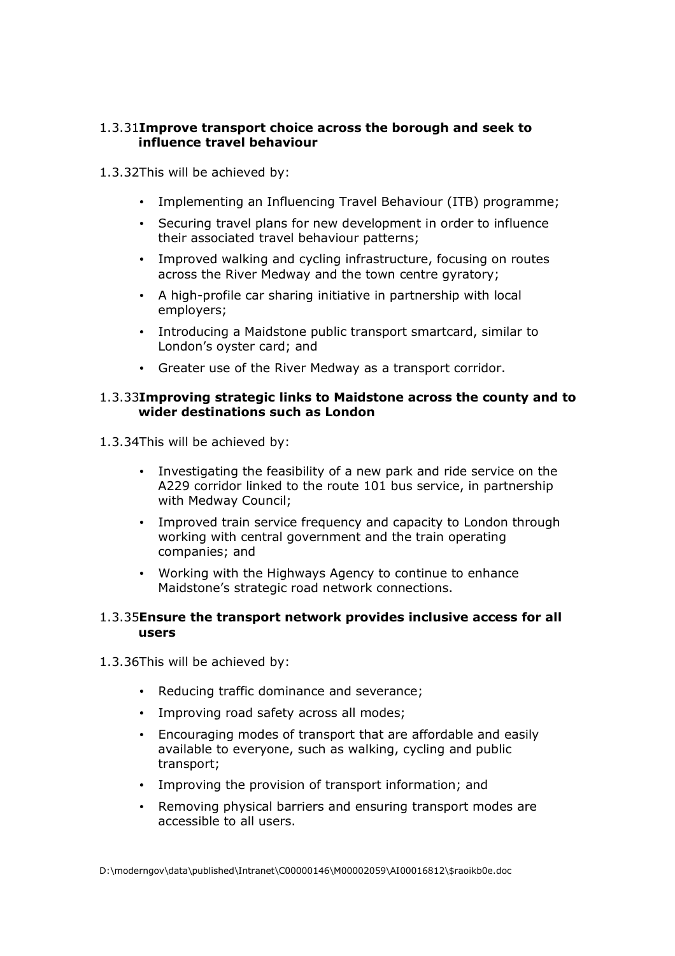### 1.3.31**Improve transport choice across the borough and seek to influence travel behaviour**

- 1.3.32This will be achieved by:
	- Implementing an Influencing Travel Behaviour (ITB) programme;
	- Securing travel plans for new development in order to influence their associated travel behaviour patterns;
	- Improved walking and cycling infrastructure, focusing on routes across the River Medway and the town centre gyratory;
	- A high-profile car sharing initiative in partnership with local employers;
	- Introducing a Maidstone public transport smartcard, similar to London's oyster card; and
	- Greater use of the River Medway as a transport corridor.

#### 1.3.33**Improving strategic links to Maidstone across the county and to wider destinations such as London**

1.3.34This will be achieved by:

- Investigating the feasibility of a new park and ride service on the A229 corridor linked to the route 101 bus service, in partnership with Medway Council;
- Improved train service frequency and capacity to London through working with central government and the train operating companies; and
- Working with the Highways Agency to continue to enhance Maidstone's strategic road network connections.

#### 1.3.35**Ensure the transport network provides inclusive access for all users**

- 1.3.36This will be achieved by:
	- Reducing traffic dominance and severance;
	- Improving road safety across all modes;
	- Encouraging modes of transport that are affordable and easily available to everyone, such as walking, cycling and public transport;
	- Improving the provision of transport information; and
	- Removing physical barriers and ensuring transport modes are accessible to all users.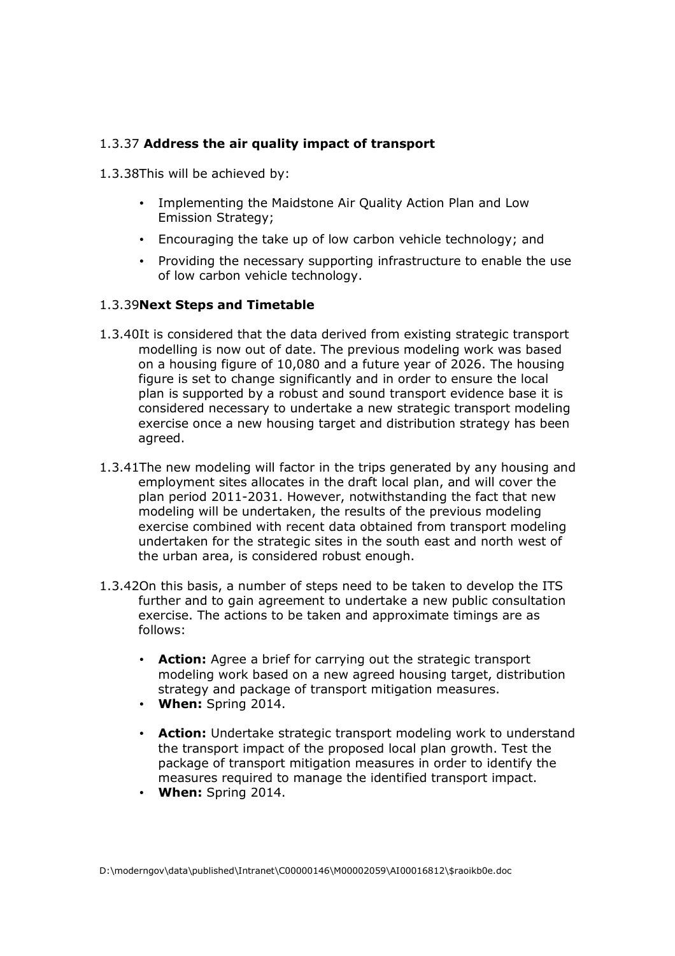### 1.3.37 **Address the air quality impact of transport**

- 1.3.38This will be achieved by:
	- Implementing the Maidstone Air Quality Action Plan and Low Emission Strategy;
	- Encouraging the take up of low carbon vehicle technology; and
	- Providing the necessary supporting infrastructure to enable the use of low carbon vehicle technology.

#### 1.3.39**Next Steps and Timetable**

- 1.3.40It is considered that the data derived from existing strategic transport modelling is now out of date. The previous modeling work was based on a housing figure of 10,080 and a future year of 2026. The housing figure is set to change significantly and in order to ensure the local plan is supported by a robust and sound transport evidence base it is considered necessary to undertake a new strategic transport modeling exercise once a new housing target and distribution strategy has been agreed.
- 1.3.41The new modeling will factor in the trips generated by any housing and employment sites allocates in the draft local plan, and will cover the plan period 2011-2031. However, notwithstanding the fact that new modeling will be undertaken, the results of the previous modeling exercise combined with recent data obtained from transport modeling undertaken for the strategic sites in the south east and north west of the urban area, is considered robust enough.
- 1.3.42On this basis, a number of steps need to be taken to develop the ITS further and to gain agreement to undertake a new public consultation exercise. The actions to be taken and approximate timings are as follows:
	- **Action:** Agree a brief for carrying out the strategic transport modeling work based on a new agreed housing target, distribution strategy and package of transport mitigation measures.
	- **When:** Spring 2014.
	- **Action:** Undertake strategic transport modeling work to understand the transport impact of the proposed local plan growth. Test the package of transport mitigation measures in order to identify the measures required to manage the identified transport impact.
	- **When:** Spring 2014.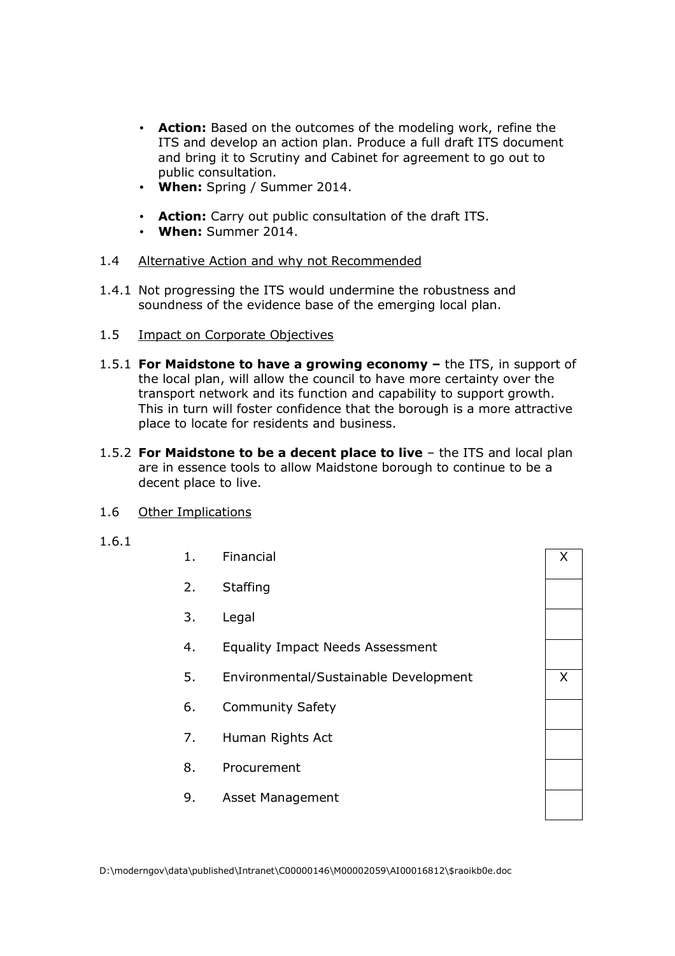- **Action:** Based on the outcomes of the modeling work, refine the ITS and develop an action plan. Produce a full draft ITS document and bring it to Scrutiny and Cabinet for agreement to go out to public consultation.
- **When:** Spring / Summer 2014.
- **Action:** Carry out public consultation of the draft ITS.
- **When:** Summer 2014.
- 1.4 Alternative Action and why not Recommended
- 1.4.1 Not progressing the ITS would undermine the robustness and soundness of the evidence base of the emerging local plan.
- 1.5 Impact on Corporate Objectives
- 1.5.1 **For Maidstone to have a growing economy –** the ITS, in support of the local plan, will allow the council to have more certainty over the transport network and its function and capability to support growth. This in turn will foster confidence that the borough is a more attractive place to locate for residents and business.
- 1.5.2 **For Maidstone to be a decent place to live** the ITS and local plan are in essence tools to allow Maidstone borough to continue to be a decent place to live.
- 1.6 Other Implications
- 1.6.1
- 1. Financial X
- 2. Staffing
- 3. Legal
- 4. Equality Impact Needs Assessment
- 5. Environmental/Sustainable Development X
- 6. Community Safety
- 7. Human Rights Act
- 8. Procurement
- 9. Asset Management